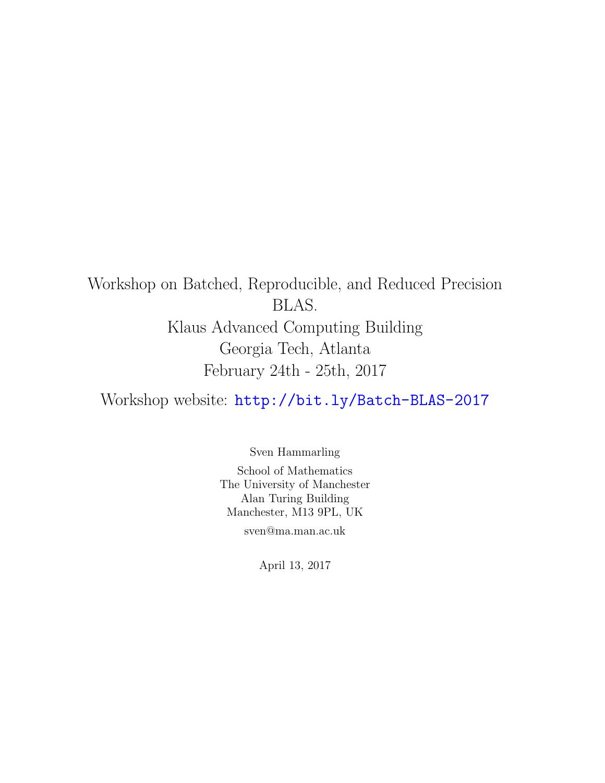# Workshop on Batched, Reproducible, and Reduced Precision BLAS. Klaus Advanced Computing Building Georgia Tech, Atlanta February 24th - 25th, 2017

Workshop website: <http://bit.ly/Batch-BLAS-2017>

Sven Hammarling School of Mathematics The University of Manchester Alan Turing Building Manchester, M13 9PL, UK

sven@ma.man.ac.uk

April 13, 2017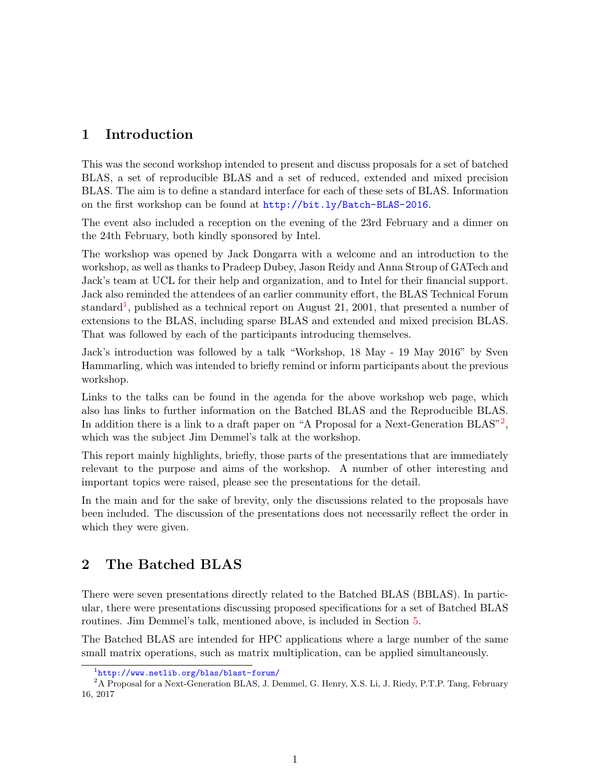# <span id="page-1-2"></span>1 Introduction

This was the second workshop intended to present and discuss proposals for a set of batched BLAS, a set of reproducible BLAS and a set of reduced, extended and mixed precision BLAS. The aim is to define a standard interface for each of these sets of BLAS. Information on the first workshop can be found at <http://bit.ly/Batch-BLAS-2016>.

The event also included a reception on the evening of the 23rd February and a dinner on the 24th February, both kindly sponsored by Intel.

The workshop was opened by Jack Dongarra with a welcome and an introduction to the workshop, as well as thanks to Pradeep Dubey, Jason Reidy and Anna Stroup of GATech and Jack's team at UCL for their help and organization, and to Intel for their financial support. Jack also reminded the attendees of an earlier community effort, the BLAS Technical Forum standard<sup>[1](#page-1-0)</sup>, published as a technical report on August 21, 2001, that presented a number of extensions to the BLAS, including sparse BLAS and extended and mixed precision BLAS. That was followed by each of the participants introducing themselves.

Jack's introduction was followed by a talk "Workshop, 18 May - 19 May 2016" by Sven Hammarling, which was intended to briefly remind or inform participants about the previous workshop.

Links to the talks can be found in the agenda for the above workshop web page, which also has links to further information on the Batched BLAS and the Reproducible BLAS. In addition there is a link to a draft paper on "A Proposal for a Next-Generation BLAS"<sup>[2](#page-1-1)</sup>, which was the subject Jim Demmel's talk at the workshop.

This report mainly highlights, briefly, those parts of the presentations that are immediately relevant to the purpose and aims of the workshop. A number of other interesting and important topics were raised, please see the presentations for the detail.

In the main and for the sake of brevity, only the discussions related to the proposals have been included. The discussion of the presentations does not necessarily reflect the order in which they were given.

# <span id="page-1-3"></span>2 The Batched BLAS

There were seven presentations directly related to the Batched BLAS (BBLAS). In particular, there were presentations discussing proposed specifications for a set of Batched BLAS routines. Jim Demmel's talk, mentioned above, is included in Section [5.](#page-4-0)

The Batched BLAS are intended for HPC applications where a large number of the same small matrix operations, such as matrix multiplication, can be applied simultaneously.

<span id="page-1-1"></span><span id="page-1-0"></span><sup>1</sup> <http://www.netlib.org/blas/blast-forum/>

<sup>2</sup>A Proposal for a Next-Generation BLAS, J. Demmel, G. Henry, X.S. Li, J. Riedy, P.T.P. Tang, February 16, 2017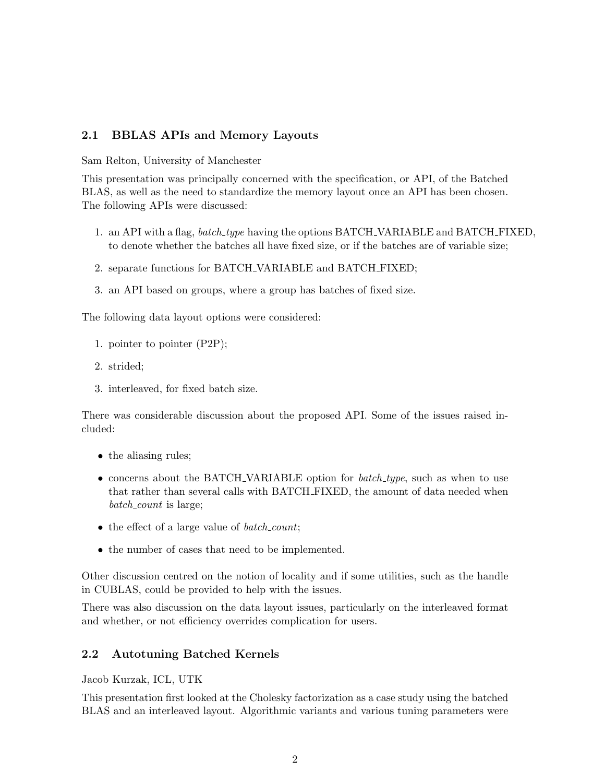## 2.1 BBLAS APIs and Memory Layouts

Sam Relton, University of Manchester

This presentation was principally concerned with the specification, or API, of the Batched BLAS, as well as the need to standardize the memory layout once an API has been chosen. The following APIs were discussed:

- 1. an API with a flag, *batch\_type* having the options BATCH\_VARIABLE and BATCH\_FIXED, to denote whether the batches all have fixed size, or if the batches are of variable size;
- 2. separate functions for BATCH VARIABLE and BATCH FIXED;
- 3. an API based on groups, where a group has batches of fixed size.

The following data layout options were considered:

- 1. pointer to pointer (P2P);
- 2. strided;
- 3. interleaved, for fixed batch size.

There was considerable discussion about the proposed API. Some of the issues raised included:

- the aliasing rules;
- concerns about the BATCH\_VARIABLE option for *batch\_type*, such as when to use that rather than several calls with BATCH FIXED, the amount of data needed when batch\_count is large;
- the effect of a large value of *batch\_count*;
- the number of cases that need to be implemented.

Other discussion centred on the notion of locality and if some utilities, such as the handle in CUBLAS, could be provided to help with the issues.

There was also discussion on the data layout issues, particularly on the interleaved format and whether, or not efficiency overrides complication for users.

#### 2.2 Autotuning Batched Kernels

Jacob Kurzak, ICL, UTK

This presentation first looked at the Cholesky factorization as a case study using the batched BLAS and an interleaved layout. Algorithmic variants and various tuning parameters were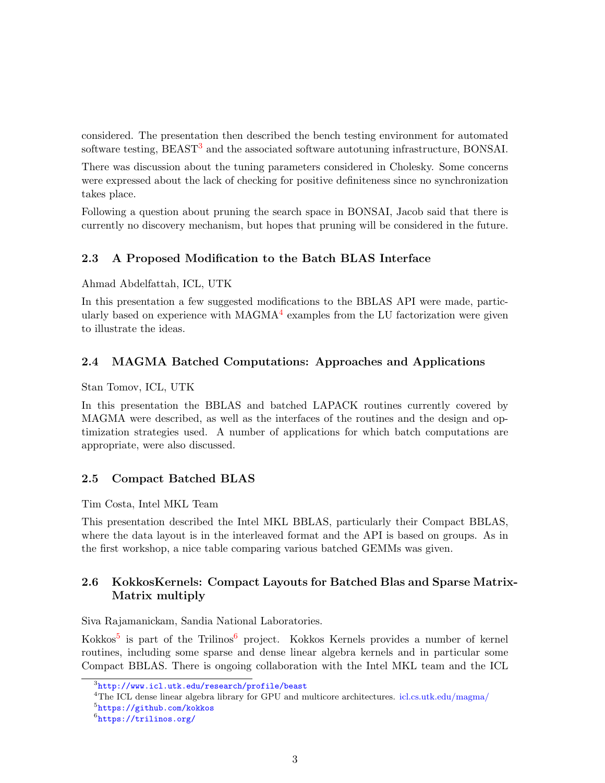considered. The presentation then described the bench testing environment for automated software testing, BEAST<sup>[3](#page-3-0)</sup> and the associated software autotuning infrastructure, BONSAI.

There was discussion about the tuning parameters considered in Cholesky. Some concerns were expressed about the lack of checking for positive definiteness since no synchronization takes place.

Following a question about pruning the search space in BONSAI, Jacob said that there is currently no discovery mechanism, but hopes that pruning will be considered in the future.

#### 2.3 A Proposed Modification to the Batch BLAS Interface

Ahmad Abdelfattah, ICL, UTK

In this presentation a few suggested modifications to the BBLAS API were made, particularly based on experience with  $MAGMA<sup>4</sup>$  $MAGMA<sup>4</sup>$  $MAGMA<sup>4</sup>$  examples from the LU factorization were given to illustrate the ideas.

#### 2.4 MAGMA Batched Computations: Approaches and Applications

Stan Tomov, ICL, UTK

In this presentation the BBLAS and batched LAPACK routines currently covered by MAGMA were described, as well as the interfaces of the routines and the design and optimization strategies used. A number of applications for which batch computations are appropriate, were also discussed.

#### 2.5 Compact Batched BLAS

Tim Costa, Intel MKL Team

This presentation described the Intel MKL BBLAS, particularly their Compact BBLAS, where the data layout is in the interleaved format and the API is based on groups. As in the first workshop, a nice table comparing various batched GEMMs was given.

## 2.6 KokkosKernels: Compact Layouts for Batched Blas and Sparse Matrix-Matrix multiply

Siva Rajamanickam, Sandia National Laboratories.

Kokkos<sup>[5](#page-3-2)</sup> is part of the Trilinos<sup>[6](#page-3-3)</sup> project. Kokkos Kernels provides a number of kernel routines, including some sparse and dense linear algebra kernels and in particular some Compact BBLAS. There is ongoing collaboration with the Intel MKL team and the ICL

<span id="page-3-0"></span> $^3$ <http://www.icl.utk.edu/research/profile/beast>

<span id="page-3-1"></span><sup>&</sup>lt;sup>4</sup>The ICL dense linear algebra library for GPU and multicore architectures. [icl.cs.utk.edu/magma/](http://www.icl.utk.edu/research/profile/magma)

<span id="page-3-2"></span> $^{5}$ <https://github.com/kokkos>

<span id="page-3-3"></span> $^6$ <https://trilinos.org/>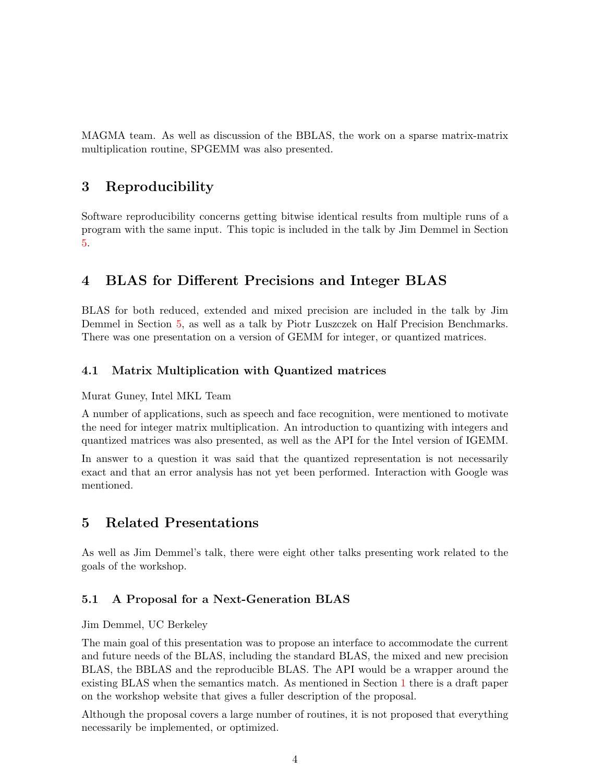MAGMA team. As well as discussion of the BBLAS, the work on a sparse matrix-matrix multiplication routine, SPGEMM was also presented.

# 3 Reproducibility

Software reproducibility concerns getting bitwise identical results from multiple runs of a program with the same input. This topic is included in the talk by Jim Demmel in Section [5.](#page-4-0)

# 4 BLAS for Different Precisions and Integer BLAS

BLAS for both reduced, extended and mixed precision are included in the talk by Jim Demmel in Section [5,](#page-4-0) as well as a talk by Piotr Luszczek on Half Precision Benchmarks. There was one presentation on a version of GEMM for integer, or quantized matrices.

## 4.1 Matrix Multiplication with Quantized matrices

#### Murat Guney, Intel MKL Team

A number of applications, such as speech and face recognition, were mentioned to motivate the need for integer matrix multiplication. An introduction to quantizing with integers and quantized matrices was also presented, as well as the API for the Intel version of IGEMM.

In answer to a question it was said that the quantized representation is not necessarily exact and that an error analysis has not yet been performed. Interaction with Google was mentioned.

# <span id="page-4-0"></span>5 Related Presentations

As well as Jim Demmel's talk, there were eight other talks presenting work related to the goals of the workshop.

## 5.1 A Proposal for a Next-Generation BLAS

#### Jim Demmel, UC Berkeley

The main goal of this presentation was to propose an interface to accommodate the current and future needs of the BLAS, including the standard BLAS, the mixed and new precision BLAS, the BBLAS and the reproducible BLAS. The API would be a wrapper around the existing BLAS when the semantics match. As mentioned in Section [1](#page-1-2) there is a draft paper on the workshop website that gives a fuller description of the proposal.

Although the proposal covers a large number of routines, it is not proposed that everything necessarily be implemented, or optimized.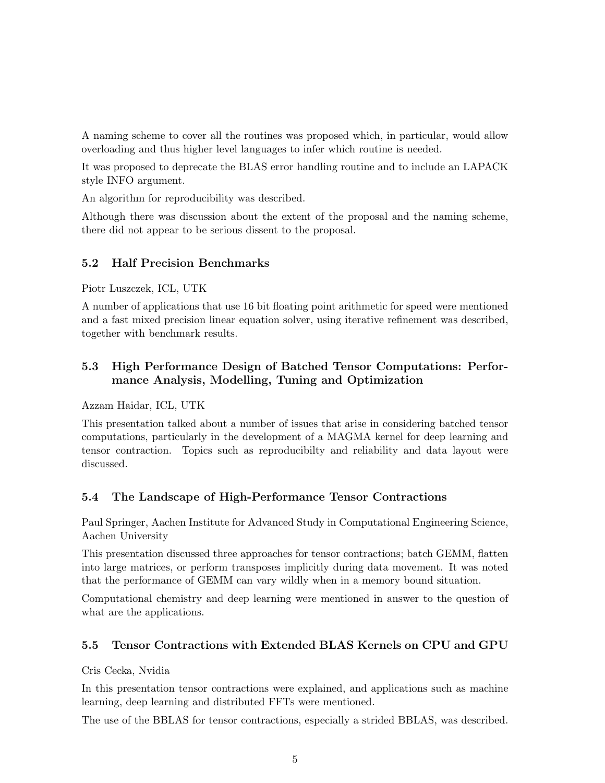A naming scheme to cover all the routines was proposed which, in particular, would allow overloading and thus higher level languages to infer which routine is needed.

It was proposed to deprecate the BLAS error handling routine and to include an LAPACK style INFO argument.

An algorithm for reproducibility was described.

Although there was discussion about the extent of the proposal and the naming scheme, there did not appear to be serious dissent to the proposal.

#### 5.2 Half Precision Benchmarks

Piotr Luszczek, ICL, UTK

A number of applications that use 16 bit floating point arithmetic for speed were mentioned and a fast mixed precision linear equation solver, using iterative refinement was described, together with benchmark results.

## 5.3 High Performance Design of Batched Tensor Computations: Performance Analysis, Modelling, Tuning and Optimization

Azzam Haidar, ICL, UTK

This presentation talked about a number of issues that arise in considering batched tensor computations, particularly in the development of a MAGMA kernel for deep learning and tensor contraction. Topics such as reproducibilty and reliability and data layout were discussed.

## 5.4 The Landscape of High-Performance Tensor Contractions

Paul Springer, Aachen Institute for Advanced Study in Computational Engineering Science, Aachen University

This presentation discussed three approaches for tensor contractions; batch GEMM, flatten into large matrices, or perform transposes implicitly during data movement. It was noted that the performance of GEMM can vary wildly when in a memory bound situation.

Computational chemistry and deep learning were mentioned in answer to the question of what are the applications.

## 5.5 Tensor Contractions with Extended BLAS Kernels on CPU and GPU

Cris Cecka, Nvidia

In this presentation tensor contractions were explained, and applications such as machine learning, deep learning and distributed FFTs were mentioned.

The use of the BBLAS for tensor contractions, especially a strided BBLAS, was described.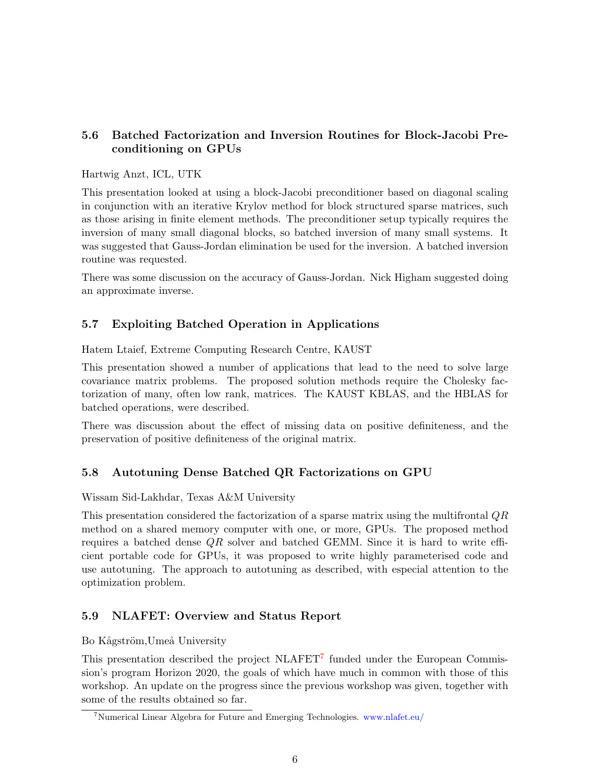## 5.6 Batched Factorization and Inversion Routines for Block-Jacobi Preconditioning on GPUs

## Hartwig Anzt, ICL, UTK

This presentation looked at using a block-Jacobi preconditioner based on diagonal scaling in conjunction with an iterative Krylov method for block structured sparse matrices, such as those arising in finite element methods. The preconditioner setup typically requires the inversion of many small diagonal blocks, so batched inversion of many small systems. It was suggested that Gauss-Jordan elimination be used for the inversion. A batched inversion routine was requested.

There was some discussion on the accuracy of Gauss-Jordan. Nick Higham suggested doing an approximate inverse.

## 5.7 Exploiting Batched Operation in Applications

Hatem Ltaief, Extreme Computing Research Centre, KAUST

This presentation showed a number of applications that lead to the need to solve large covariance matrix problems. The proposed solution methods require the Cholesky factorization of many, often low rank, matrices. The KAUST KBLAS, and the HBLAS for batched operations, were described.

There was discussion about the effect of missing data on positive definiteness, and the preservation of positive definiteness of the original matrix.

## 5.8 Autotuning Dense Batched QR Factorizations on GPU

#### Wissam Sid-Lakhdar, Texas A&M University

This presentation considered the factorization of a sparse matrix using the multifrontal QR method on a shared memory computer with one, or more, GPUs. The proposed method requires a batched dense QR solver and batched GEMM. Since it is hard to write efficient portable code for GPUs, it was proposed to write highly parameterised code and use autotuning. The approach to autotuning as described, with especial attention to the optimization problem.

## 5.9 NLAFET: Overview and Status Report

Bo Kågström, Umeå University

This presentation described the project NLAFET<sup>[7](#page-6-0)</sup> funded under the European Commission's program Horizon 2020, the goals of which have much in common with those of this workshop. An update on the progress since the previous workshop was given, together with some of the results obtained so far.

<span id="page-6-0"></span><sup>7</sup>Numerical Linear Algebra for Future and Emerging Technologies. [www.nlafet.eu/](http://www.nlafet.eu/)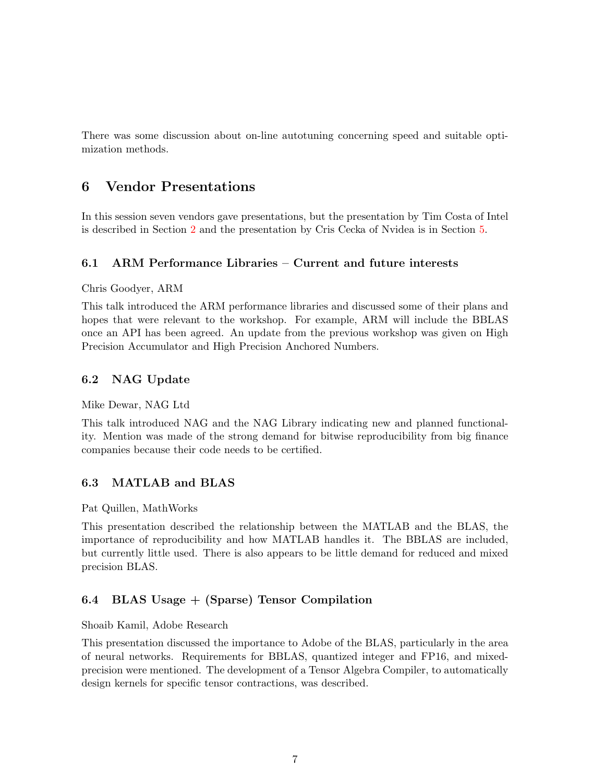There was some discussion about on-line autotuning concerning speed and suitable optimization methods.

## 6 Vendor Presentations

In this session seven vendors gave presentations, but the presentation by Tim Costa of Intel is described in Section [2](#page-1-3) and the presentation by Cris Cecka of Nvidea is in Section [5.](#page-4-0)

#### 6.1 ARM Performance Libraries – Current and future interests

Chris Goodyer, ARM

This talk introduced the ARM performance libraries and discussed some of their plans and hopes that were relevant to the workshop. For example, ARM will include the BBLAS once an API has been agreed. An update from the previous workshop was given on High Precision Accumulator and High Precision Anchored Numbers.

#### 6.2 NAG Update

Mike Dewar, NAG Ltd

This talk introduced NAG and the NAG Library indicating new and planned functionality. Mention was made of the strong demand for bitwise reproducibility from big finance companies because their code needs to be certified.

#### 6.3 MATLAB and BLAS

Pat Quillen, MathWorks

This presentation described the relationship between the MATLAB and the BLAS, the importance of reproducibility and how MATLAB handles it. The BBLAS are included, but currently little used. There is also appears to be little demand for reduced and mixed precision BLAS.

#### 6.4 BLAS Usage + (Sparse) Tensor Compilation

#### Shoaib Kamil, Adobe Research

This presentation discussed the importance to Adobe of the BLAS, particularly in the area of neural networks. Requirements for BBLAS, quantized integer and FP16, and mixedprecision were mentioned. The development of a Tensor Algebra Compiler, to automatically design kernels for specific tensor contractions, was described.